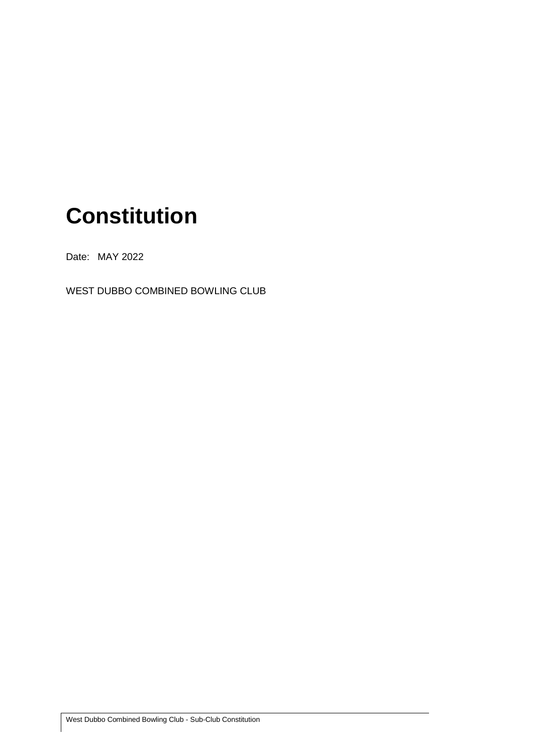## **Constitution**

Date: MAY 2022

WEST DUBBO COMBINED BOWLING CLUB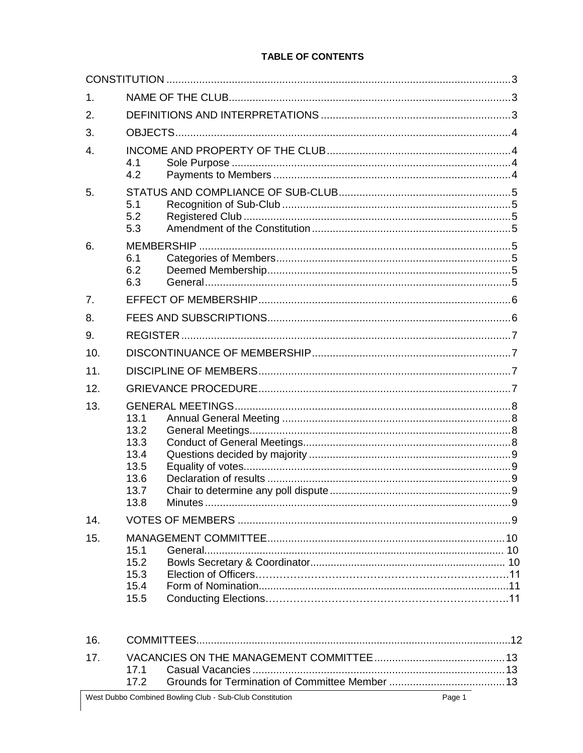#### **TABLE OF CONTENTS**

| $\mathbf 1$ . |                                                              |  |  |  |  |
|---------------|--------------------------------------------------------------|--|--|--|--|
| 2.            |                                                              |  |  |  |  |
| 3.            |                                                              |  |  |  |  |
| 4.            | 4.1<br>4.2                                                   |  |  |  |  |
| 5.            | 5.1<br>5.2<br>5.3                                            |  |  |  |  |
| 6.            | 6.1<br>6.2<br>6.3                                            |  |  |  |  |
| 7.            |                                                              |  |  |  |  |
| 8.            |                                                              |  |  |  |  |
| 9.            |                                                              |  |  |  |  |
| 10.           |                                                              |  |  |  |  |
| 11.           |                                                              |  |  |  |  |
| 12.           |                                                              |  |  |  |  |
| 13.           | 13.1<br>13.2<br>13.3<br>13.4<br>13.5<br>13.6<br>13.7<br>13.8 |  |  |  |  |
| 14.           |                                                              |  |  |  |  |
| 15.           | 15.1<br>15.2<br>15.3<br>15.4<br>15.5                         |  |  |  |  |
| 16.           |                                                              |  |  |  |  |

| 17 <sub>1</sub> |  |  |
|-----------------|--|--|
|                 |  |  |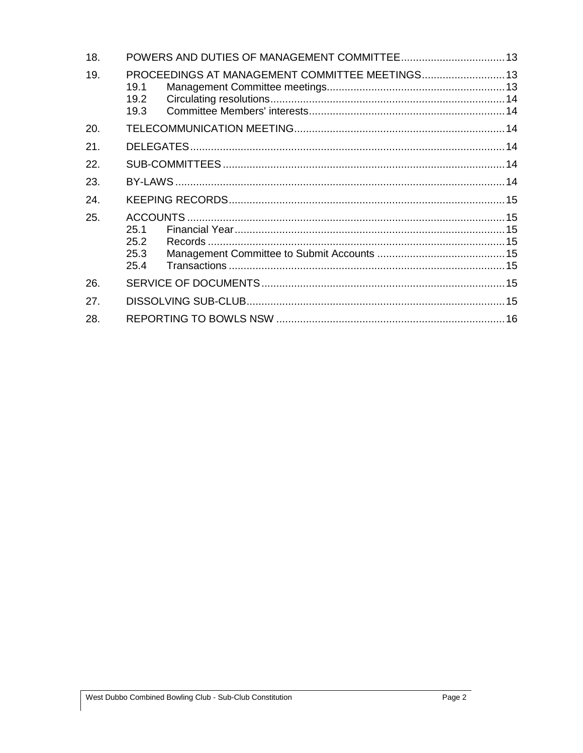| 18. |                              |                                                 |  |  |  |
|-----|------------------------------|-------------------------------------------------|--|--|--|
| 19. | 19.1<br>19.2<br>19.3         | PROCEEDINGS AT MANAGEMENT COMMITTEE MEETINGS 13 |  |  |  |
| 20. |                              |                                                 |  |  |  |
| 21. |                              |                                                 |  |  |  |
| 22. |                              |                                                 |  |  |  |
| 23. |                              |                                                 |  |  |  |
| 24. |                              |                                                 |  |  |  |
| 25. | 25.1<br>25.2<br>25.3<br>25.4 |                                                 |  |  |  |
| 26. |                              |                                                 |  |  |  |
| 27. |                              |                                                 |  |  |  |
| 28. |                              |                                                 |  |  |  |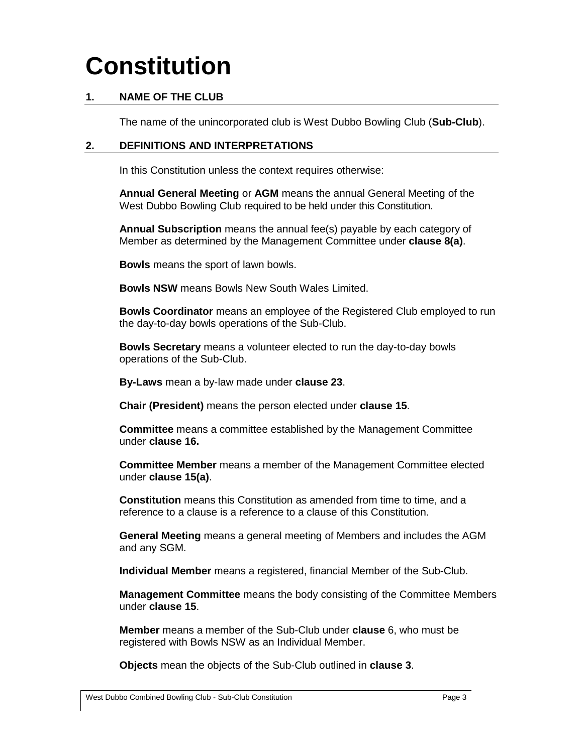# <span id="page-3-0"></span>**Constitution**

## <span id="page-3-1"></span>**1. NAME OF THE CLUB**

The name of the unincorporated club is West Dubbo Bowling Club (**Sub-Club**).

#### <span id="page-3-2"></span>**2. DEFINITIONS AND INTERPRETATIONS**

In this Constitution unless the context requires otherwise:

**Annual General Meeting** or **AGM** means the annual General Meeting of the West Dubbo Bowling Club required to be held under this Constitution.

**Annual Subscription** means the annual fee(s) payable by each category of Member as determined by the Management Committee under **clause [8\(a\)](#page-6-2)**.

**Bowls** means the sport of lawn bowls.

**Bowls NSW** means Bowls New South Wales Limited.

**Bowls Coordinator** means an employee of the Registered Club employed to run the day-to-day bowls operations of the Sub-Club.

**Bowls Secretary** means a volunteer elected to run the day-to-day bowls operations of the Sub-Club.

**By-Laws** mean a by-law made under **clause 23**.

**Chair (President)** means the person elected under **clause 15**.

**Committee** means a committee established by the Management Committee under **clause 16.**

**Committee Member** means a member of the Management Committee elected under **clause [15\(a\)](#page-9-7)**.

**Constitution** means this Constitution as amended from time to time, and a reference to a clause is a reference to a clause of this Constitution.

**General Meeting** means a general meeting of Members and includes the AGM and any SGM.

**Individual Member** means a registered, financial Member of the Sub-Club.

**Management Committee** means the body consisting of the Committee Members under **clause [15](#page-9-6)**.

**Member** means a member of the Sub-Club under **clause** [6,](#page-5-4) who must be registered with Bowls NSW as an Individual Member.

**Objects** mean the objects of the Sub-Club outlined in **clause [3](#page-4-0)**.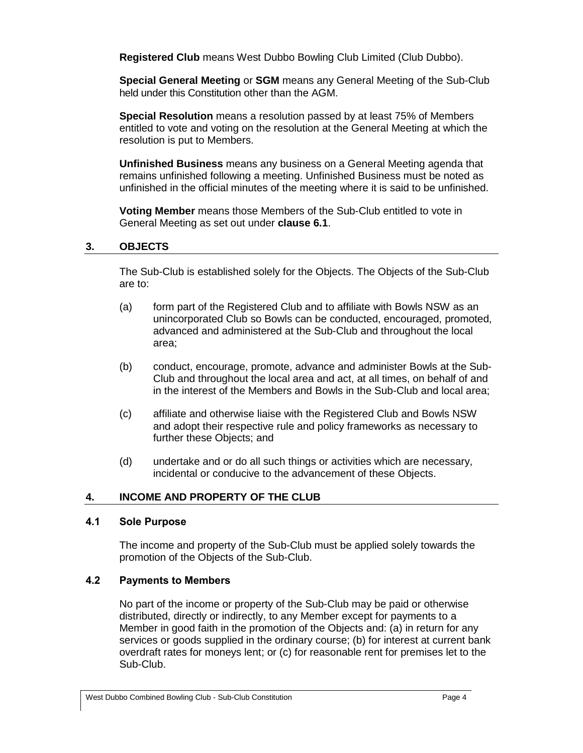**Registered Club** means West Dubbo Bowling Club Limited (Club Dubbo).

**Special General Meeting** or **SGM** means any General Meeting of the Sub-Club held under this Constitution other than the AGM.

**Special Resolution** means a resolution passed by at least 75% of Members entitled to vote and voting on the resolution at the General Meeting at which the resolution is put to Members.

**Unfinished Business** means any business on a General Meeting agenda that remains unfinished following a meeting. Unfinished Business must be noted as unfinished in the official minutes of the meeting where it is said to be unfinished.

**Voting Member** means those Members of the Sub-Club entitled to vote in General Meeting as set out under **clause [6.1](#page-5-5)**.

## <span id="page-4-0"></span>**3. OBJECTS**

The Sub-Club is established solely for the Objects. The Objects of the Sub-Club are to:

- (a) form part of the Registered Club and to affiliate with Bowls NSW as an unincorporated Club so Bowls can be conducted, encouraged, promoted, advanced and administered at the Sub-Club and throughout the local area;
- (b) conduct, encourage, promote, advance and administer Bowls at the Sub-Club and throughout the local area and act, at all times, on behalf of and in the interest of the Members and Bowls in the Sub-Club and local area;
- (c) affiliate and otherwise liaise with the Registered Club and Bowls NSW and adopt their respective rule and policy frameworks as necessary to further these Objects; and
- (d) undertake and or do all such things or activities which are necessary, incidental or conducive to the advancement of these Objects.

## <span id="page-4-1"></span>**4. INCOME AND PROPERTY OF THE CLUB**

#### <span id="page-4-2"></span>**4.1 Sole Purpose**

The income and property of the Sub-Club must be applied solely towards the promotion of the Objects of the Sub-Club.

## <span id="page-4-3"></span>**4.2 Payments to Members**

No part of the income or property of the Sub-Club may be paid or otherwise distributed, directly or indirectly, to any Member except for payments to a Member in good faith in the promotion of the Objects and: (a) in return for any services or goods supplied in the ordinary course; (b) for interest at current bank overdraft rates for moneys lent; or (c) for reasonable rent for premises let to the Sub-Club.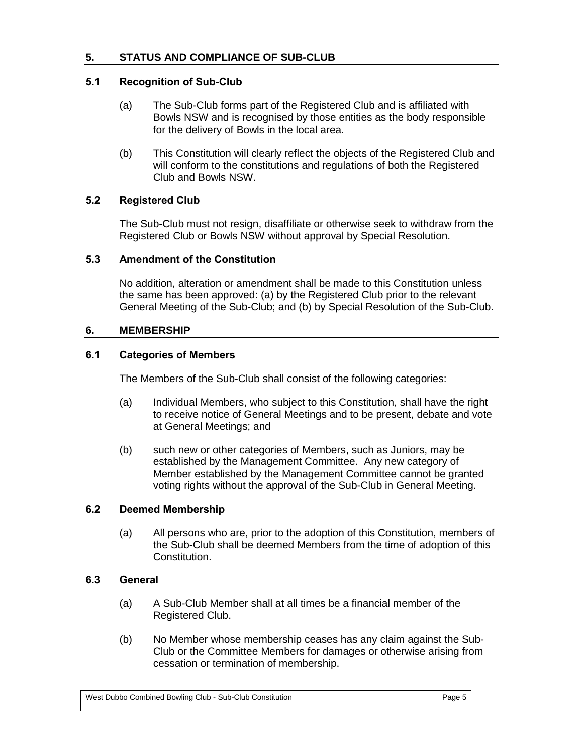## <span id="page-5-1"></span><span id="page-5-0"></span>**5.1 Recognition of Sub-Club**

- (a) The Sub-Club forms part of the Registered Club and is affiliated with Bowls NSW and is recognised by those entities as the body responsible for the delivery of Bowls in the local area.
- (b) This Constitution will clearly reflect the objects of the Registered Club and will conform to the constitutions and regulations of both the Registered Club and Bowls NSW.

## <span id="page-5-2"></span>**5.2 Registered Club**

The Sub-Club must not resign, disaffiliate or otherwise seek to withdraw from the Registered Club or Bowls NSW without approval by Special Resolution.

#### <span id="page-5-3"></span>**5.3 Amendment of the Constitution**

No addition, alteration or amendment shall be made to this Constitution unless the same has been approved: (a) by the Registered Club prior to the relevant General Meeting of the Sub-Club; and (b) by Special Resolution of the Sub-Club.

## <span id="page-5-4"></span>**6. MEMBERSHIP**

#### <span id="page-5-5"></span>**6.1 Categories of Members**

The Members of the Sub-Club shall consist of the following categories:

- (a) Individual Members, who subject to this Constitution, shall have the right to receive notice of General Meetings and to be present, debate and vote at General Meetings; and
- (b) such new or other categories of Members, such as Juniors, may be established by the Management Committee. Any new category of Member established by the Management Committee cannot be granted voting rights without the approval of the Sub-Club in General Meeting.

## <span id="page-5-6"></span>**6.2 Deemed Membership**

(a) All persons who are, prior to the adoption of this Constitution, members of the Sub-Club shall be deemed Members from the time of adoption of this Constitution.

#### <span id="page-5-7"></span>**6.3 General**

- (a) A Sub-Club Member shall at all times be a financial member of the Registered Club.
- (b) No Member whose membership ceases has any claim against the Sub-Club or the Committee Members for damages or otherwise arising from cessation or termination of membership.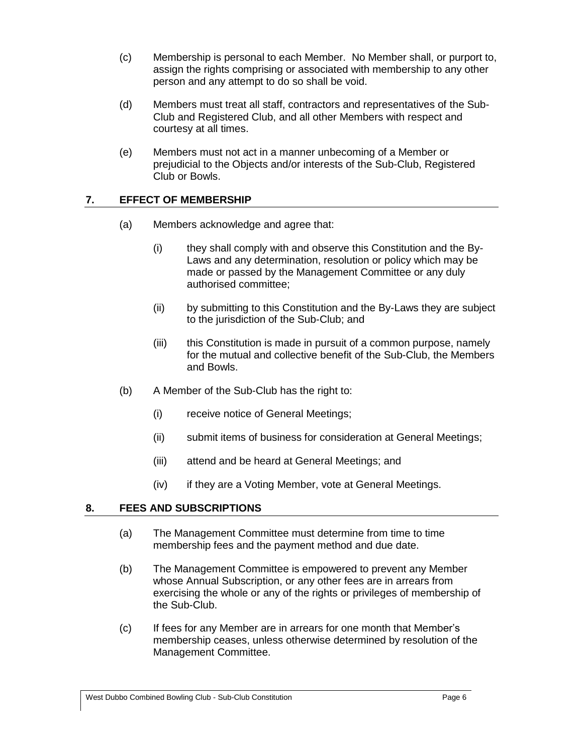- (c) Membership is personal to each Member. No Member shall, or purport to, assign the rights comprising or associated with membership to any other person and any attempt to do so shall be void.
- (d) Members must treat all staff, contractors and representatives of the Sub-Club and Registered Club, and all other Members with respect and courtesy at all times.
- (e) Members must not act in a manner unbecoming of a Member or prejudicial to the Objects and/or interests of the Sub-Club, Registered Club or Bowls.

## <span id="page-6-0"></span>**7. EFFECT OF MEMBERSHIP**

- (a) Members acknowledge and agree that:
	- (i) they shall comply with and observe this Constitution and the By-Laws and any determination, resolution or policy which may be made or passed by the Management Committee or any duly authorised committee;
	- (ii) by submitting to this Constitution and the By-Laws they are subject to the jurisdiction of the Sub-Club; and
	- (iii) this Constitution is made in pursuit of a common purpose, namely for the mutual and collective benefit of the Sub-Club, the Members and Bowls.
- (b) A Member of the Sub-Club has the right to:
	- (i) receive notice of General Meetings;
	- (ii) submit items of business for consideration at General Meetings;
	- (iii) attend and be heard at General Meetings; and
	- (iv) if they are a Voting Member, vote at General Meetings.

## <span id="page-6-2"></span><span id="page-6-1"></span>**8. FEES AND SUBSCRIPTIONS**

- (a) The Management Committee must determine from time to time membership fees and the payment method and due date.
- (b) The Management Committee is empowered to prevent any Member whose Annual Subscription, or any other fees are in arrears from exercising the whole or any of the rights or privileges of membership of the Sub-Club.
- (c) If fees for any Member are in arrears for one month that Member's membership ceases, unless otherwise determined by resolution of the Management Committee.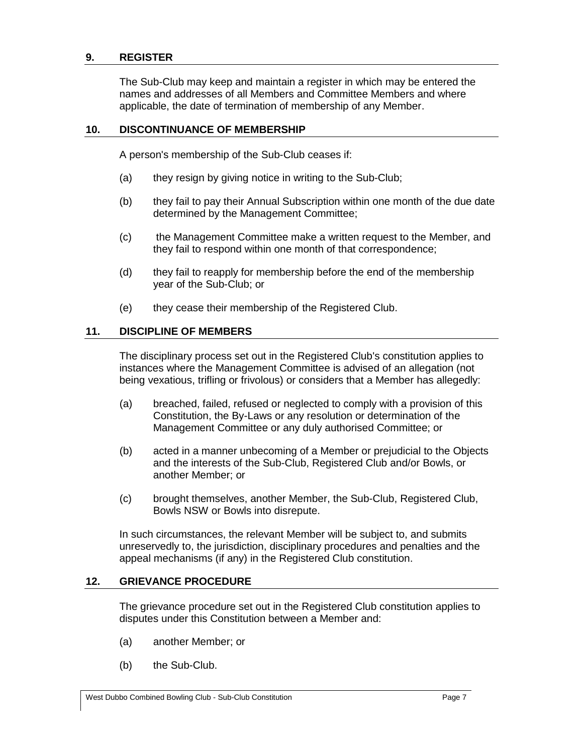#### <span id="page-7-0"></span>**9. REGISTER**

The Sub-Club may keep and maintain a register in which may be entered the names and addresses of all Members and Committee Members and where applicable, the date of termination of membership of any Member.

#### <span id="page-7-1"></span>**10. DISCONTINUANCE OF MEMBERSHIP**

A person's membership of the Sub-Club ceases if:

- (a) they resign by giving notice in writing to the Sub-Club;
- (b) they fail to pay their Annual Subscription within one month of the due date determined by the Management Committee;
- (c) the Management Committee make a written request to the Member, and they fail to respond within one month of that correspondence;
- (d) they fail to reapply for membership before the end of the membership year of the Sub-Club; or
- (e) they cease their membership of the Registered Club.

#### <span id="page-7-2"></span>**11. DISCIPLINE OF MEMBERS**

The disciplinary process set out in the Registered Club's constitution applies to instances where the Management Committee is advised of an allegation (not being vexatious, trifling or frivolous) or considers that a Member has allegedly:

- (a) breached, failed, refused or neglected to comply with a provision of this Constitution, the By-Laws or any resolution or determination of the Management Committee or any duly authorised Committee; or
- (b) acted in a manner unbecoming of a Member or prejudicial to the Objects and the interests of the Sub-Club, Registered Club and/or Bowls, or another Member; or
- (c) brought themselves, another Member, the Sub-Club, Registered Club, Bowls NSW or Bowls into disrepute.

In such circumstances, the relevant Member will be subject to, and submits unreservedly to, the jurisdiction, disciplinary procedures and penalties and the appeal mechanisms (if any) in the Registered Club constitution.

#### <span id="page-7-3"></span>**12. GRIEVANCE PROCEDURE**

The grievance procedure set out in the Registered Club constitution applies to disputes under this Constitution between a Member and:

- (a) another Member; or
- (b) the Sub-Club.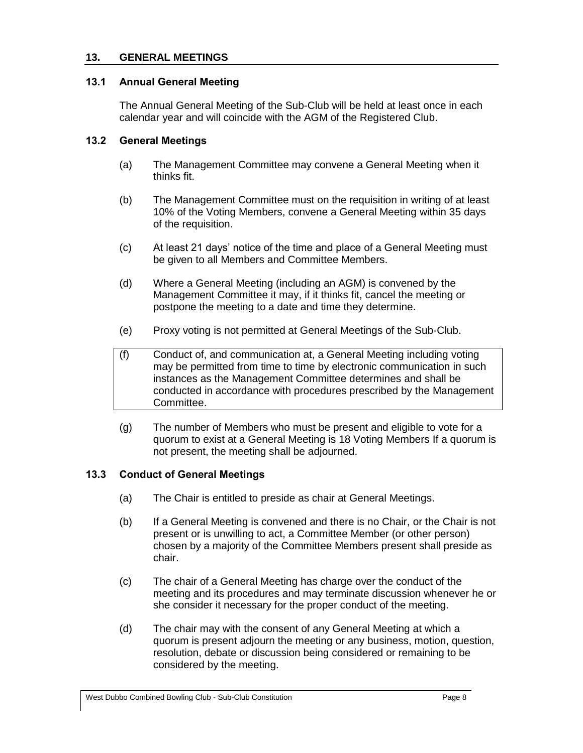#### <span id="page-8-0"></span>**13. GENERAL MEETINGS**

#### <span id="page-8-1"></span>**13.1 Annual General Meeting**

The Annual General Meeting of the Sub-Club will be held at least once in each calendar year and will coincide with the AGM of the Registered Club.

#### <span id="page-8-2"></span>**13.2 General Meetings**

- (a) The Management Committee may convene a General Meeting when it thinks fit.
- (b) The Management Committee must on the requisition in writing of at least 10% of the Voting Members, convene a General Meeting within 35 days of the requisition.
- (c) At least 21 days' notice of the time and place of a General Meeting must be given to all Members and Committee Members.
- (d) Where a General Meeting (including an AGM) is convened by the Management Committee it may, if it thinks fit, cancel the meeting or postpone the meeting to a date and time they determine.
- (e) Proxy voting is not permitted at General Meetings of the Sub-Club.
- (f) Conduct of, and communication at, a General Meeting including voting may be permitted from time to time by electronic communication in such instances as the Management Committee determines and shall be conducted in accordance with procedures prescribed by the Management Committee.
- (g) The number of Members who must be present and eligible to vote for a quorum to exist at a General Meeting is 18 Voting Members If a quorum is not present, the meeting shall be adjourned.

#### <span id="page-8-3"></span>**13.3 Conduct of General Meetings**

- (a) The Chair is entitled to preside as chair at General Meetings.
- (b) If a General Meeting is convened and there is no Chair, or the Chair is not present or is unwilling to act, a Committee Member (or other person) chosen by a majority of the Committee Members present shall preside as chair.
- (c) The chair of a General Meeting has charge over the conduct of the meeting and its procedures and may terminate discussion whenever he or she consider it necessary for the proper conduct of the meeting.
- (d) The chair may with the consent of any General Meeting at which a quorum is present adjourn the meeting or any business, motion, question, resolution, debate or discussion being considered or remaining to be considered by the meeting.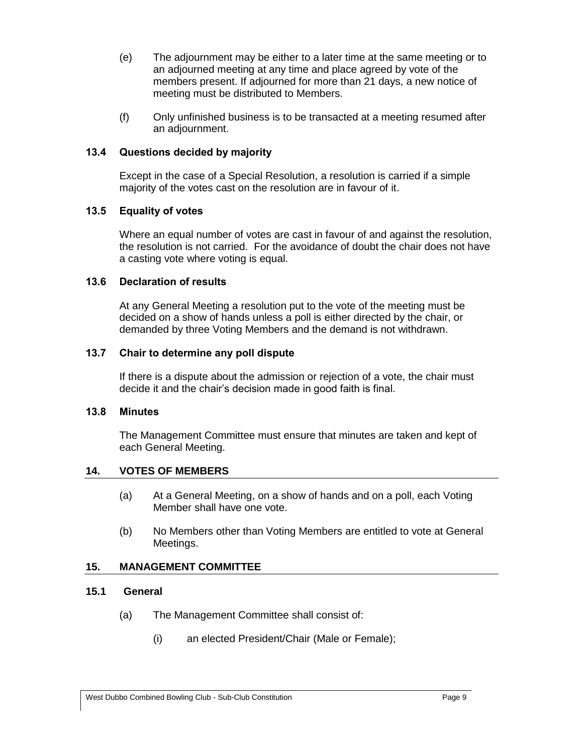- (e) The adjournment may be either to a later time at the same meeting or to an adjourned meeting at any time and place agreed by vote of the members present. If adjourned for more than 21 days, a new notice of meeting must be distributed to Members.
- (f) Only unfinished business is to be transacted at a meeting resumed after an adjournment.

#### <span id="page-9-0"></span>**13.4 Questions decided by majority**

Except in the case of a Special Resolution, a resolution is carried if a simple majority of the votes cast on the resolution are in favour of it.

## <span id="page-9-1"></span>**13.5 Equality of votes**

Where an equal number of votes are cast in favour of and against the resolution, the resolution is not carried. For the avoidance of doubt the chair does not have a casting vote where voting is equal.

## <span id="page-9-2"></span>**13.6 Declaration of results**

At any General Meeting a resolution put to the vote of the meeting must be decided on a show of hands unless a poll is either directed by the chair, or demanded by three Voting Members and the demand is not withdrawn.

## <span id="page-9-3"></span>**13.7 Chair to determine any poll dispute**

If there is a dispute about the admission or rejection of a vote, the chair must decide it and the chair's decision made in good faith is final.

#### <span id="page-9-4"></span>**13.8 Minutes**

The Management Committee must ensure that minutes are taken and kept of each General Meeting.

#### <span id="page-9-5"></span>**14. VOTES OF MEMBERS**

- (a) At a General Meeting, on a show of hands and on a poll, each Voting Member shall have one vote.
- (b) No Members other than Voting Members are entitled to vote at General Meetings.

## <span id="page-9-6"></span>**15. MANAGEMENT COMMITTEE**

## <span id="page-9-7"></span>**15.1 General**

- (a) The Management Committee shall consist of:
	- (i) an elected President/Chair (Male or Female);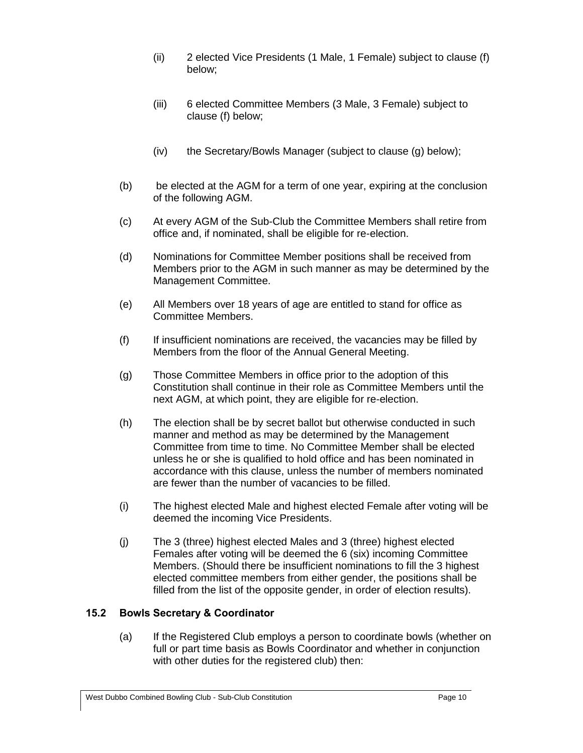- (ii) 2 elected Vice Presidents (1 Male, 1 Female) subject to clause (f) below;
- (iii) 6 elected Committee Members (3 Male, 3 Female) subject to clause (f) below;
- (iv) the Secretary/Bowls Manager (subject to clause (g) below);
- (b) be elected at the AGM for a term of one year, expiring at the conclusion of the following AGM.
- (c) At every AGM of the Sub-Club the Committee Members shall retire from office and, if nominated, shall be eligible for re-election.
- (d) Nominations for Committee Member positions shall be received from Members prior to the AGM in such manner as may be determined by the Management Committee.
- (e) All Members over 18 years of age are entitled to stand for office as Committee Members.
- (f) If insufficient nominations are received, the vacancies may be filled by Members from the floor of the Annual General Meeting.
- (g) Those Committee Members in office prior to the adoption of this Constitution shall continue in their role as Committee Members until the next AGM, at which point, they are eligible for re-election.
- (h) The election shall be by secret ballot but otherwise conducted in such manner and method as may be determined by the Management Committee from time to time. No Committee Member shall be elected unless he or she is qualified to hold office and has been nominated in accordance with this clause, unless the number of members nominated are fewer than the number of vacancies to be filled.
- <span id="page-10-0"></span>(i) The highest elected Male and highest elected Female after voting will be deemed the incoming Vice Presidents.
- (j) The 3 (three) highest elected Males and 3 (three) highest elected Females after voting will be deemed the 6 (six) incoming Committee Members. (Should there be insufficient nominations to fill the 3 highest elected committee members from either gender, the positions shall be filled from the list of the opposite gender, in order of election results).

## **15.2 Bowls Secretary & Coordinator**

(a) If the Registered Club employs a person to coordinate bowls (whether on full or part time basis as Bowls Coordinator and whether in conjunction with other duties for the registered club) then: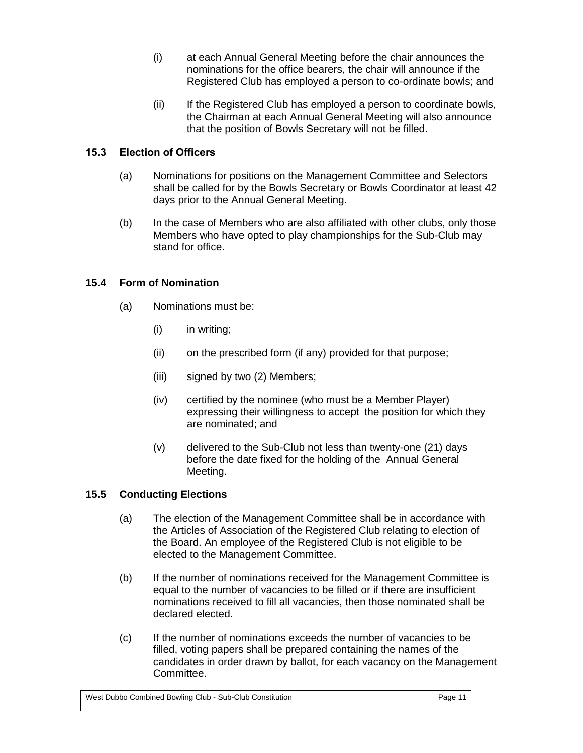- (i) at each Annual General Meeting before the chair announces the nominations for the office bearers, the chair will announce if the Registered Club has employed a person to co-ordinate bowls; and
- (ii) If the Registered Club has employed a person to coordinate bowls, the Chairman at each Annual General Meeting will also announce that the position of Bowls Secretary will not be filled.

## **15.3 Election of Officers**

- (a) Nominations for positions on the Management Committee and Selectors shall be called for by the Bowls Secretary or Bowls Coordinator at least 42 days prior to the Annual General Meeting.
- (b) In the case of Members who are also affiliated with other clubs, only those Members who have opted to play championships for the Sub-Club may stand for office.

## **15.4 Form of Nomination**

- (a) Nominations must be:
	- (i) in writing;
	- (ii) on the prescribed form (if any) provided for that purpose;
	- (iii) signed by two (2) Members;
	- (iv) certified by the nominee (who must be a Member Player) expressing their willingness to accept the position for which they are nominated; and
	- (v) delivered to the Sub-Club not less than twenty-one (21) days before the date fixed for the holding of the Annual General Meeting.

## **15.5 Conducting Elections**

- (a) The election of the Management Committee shall be in accordance with the Articles of Association of the Registered Club relating to election of the Board. An employee of the Registered Club is not eligible to be elected to the Management Committee.
- (b) If the number of nominations received for the Management Committee is equal to the number of vacancies to be filled or if there are insufficient nominations received to fill all vacancies, then those nominated shall be declared elected.
- (c) If the number of nominations exceeds the number of vacancies to be filled, voting papers shall be prepared containing the names of the candidates in order drawn by ballot, for each vacancy on the Management Committee.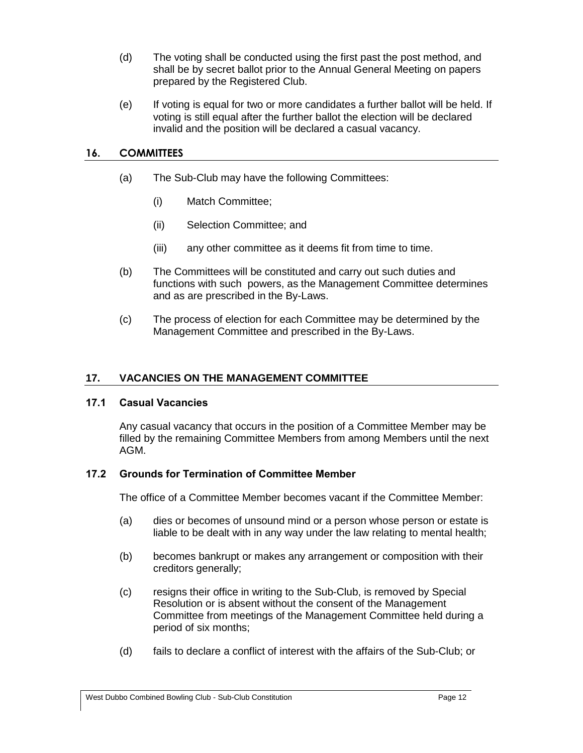- (d) The voting shall be conducted using the first past the post method, and shall be by secret ballot prior to the Annual General Meeting on papers prepared by the Registered Club.
- (e) If voting is equal for two or more candidates a further ballot will be held. If voting is still equal after the further ballot the election will be declared invalid and the position will be declared a casual vacancy.

## **16. COMMITTEES**

- (a) The Sub-Club may have the following Committees:
	- (i) Match Committee;
	- (ii) Selection Committee; and
	- (iii) any other committee as it deems fit from time to time.
- (b) The Committees will be constituted and carry out such duties and functions with such powers, as the Management Committee determines and as are prescribed in the By-Laws.
- (c) The process of election for each Committee may be determined by the Management Committee and prescribed in the By-Laws.

#### **17. VACANCIES ON THE MANAGEMENT COMMITTEE**

#### <span id="page-12-0"></span>**17.1 Casual Vacancies**

Any casual vacancy that occurs in the position of a Committee Member may be filled by the remaining Committee Members from among Members until the next AGM.

#### <span id="page-12-1"></span>**17.2 Grounds for Termination of Committee Member**

The office of a Committee Member becomes vacant if the Committee Member:

- (a) dies or becomes of unsound mind or a person whose person or estate is liable to be dealt with in any way under the law relating to mental health;
- (b) becomes bankrupt or makes any arrangement or composition with their creditors generally;
- (c) resigns their office in writing to the Sub-Club, is removed by Special Resolution or is absent without the consent of the Management Committee from meetings of the Management Committee held during a period of six months;
- (d) fails to declare a conflict of interest with the affairs of the Sub-Club; or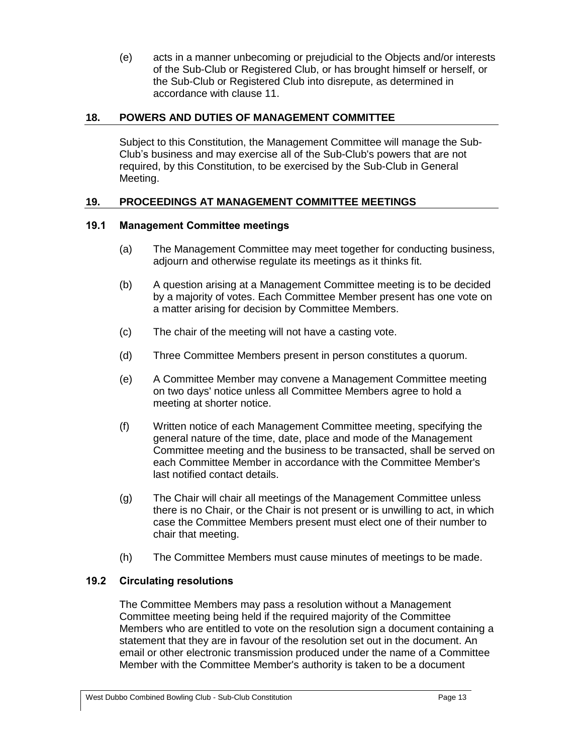(e) acts in a manner unbecoming or prejudicial to the Objects and/or interests of the Sub-Club or Registered Club, or has brought himself or herself, or the Sub-Club or Registered Club into disrepute, as determined in accordance with clause [11.](#page-7-2)

## <span id="page-13-0"></span>**18. POWERS AND DUTIES OF MANAGEMENT COMMITTEE**

Subject to this Constitution, the Management Committee will manage the Sub-Club's business and may exercise all of the Sub-Club's powers that are not required, by this Constitution, to be exercised by the Sub-Club in General Meeting.

## <span id="page-13-1"></span>**19. PROCEEDINGS AT MANAGEMENT COMMITTEE MEETINGS**

#### <span id="page-13-2"></span>**19.1 Management Committee meetings**

- (a) The Management Committee may meet together for conducting business, adjourn and otherwise regulate its meetings as it thinks fit.
- (b) A question arising at a Management Committee meeting is to be decided by a majority of votes. Each Committee Member present has one vote on a matter arising for decision by Committee Members.
- (c) The chair of the meeting will not have a casting vote.
- (d) Three Committee Members present in person constitutes a quorum.
- (e) A Committee Member may convene a Management Committee meeting on two days' notice unless all Committee Members agree to hold a meeting at shorter notice.
- (f) Written notice of each Management Committee meeting, specifying the general nature of the time, date, place and mode of the Management Committee meeting and the business to be transacted, shall be served on each Committee Member in accordance with the Committee Member's last notified contact details.
- (g) The Chair will chair all meetings of the Management Committee unless there is no Chair, or the Chair is not present or is unwilling to act, in which case the Committee Members present must elect one of their number to chair that meeting.
- (h) The Committee Members must cause minutes of meetings to be made.

#### <span id="page-13-3"></span>**19.2 Circulating resolutions**

The Committee Members may pass a resolution without a Management Committee meeting being held if the required majority of the Committee Members who are entitled to vote on the resolution sign a document containing a statement that they are in favour of the resolution set out in the document. An email or other electronic transmission produced under the name of a Committee Member with the Committee Member's authority is taken to be a document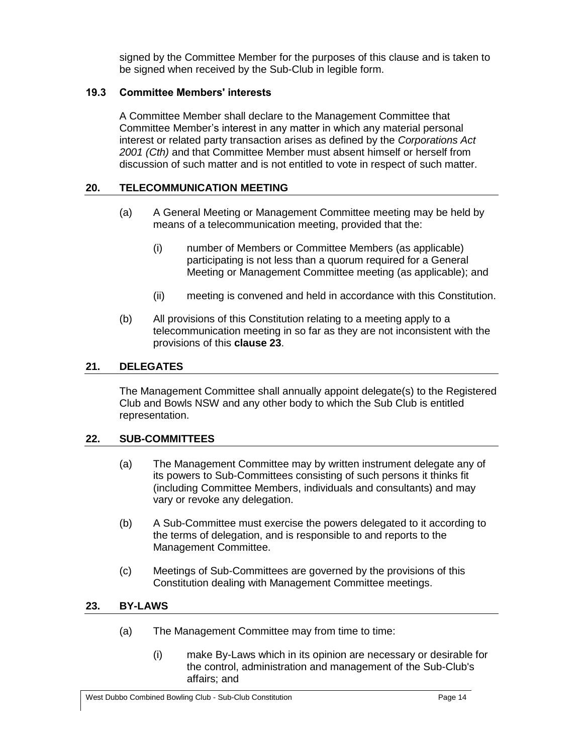signed by the Committee Member for the purposes of this clause and is taken to be signed when received by the Sub-Club in legible form.

## <span id="page-14-0"></span>**19.3 Committee Members' interests**

A Committee Member shall declare to the Management Committee that Committee Member's interest in any matter in which any material personal interest or related party transaction arises as defined by the *Corporations Act 2001 (Cth)* and that Committee Member must absent himself or herself from discussion of such matter and is not entitled to vote in respect of such matter.

#### <span id="page-14-1"></span>**20. TELECOMMUNICATION MEETING**

- (a) A General Meeting or Management Committee meeting may be held by means of a telecommunication meeting, provided that the:
	- (i) number of Members or Committee Members (as applicable) participating is not less than a quorum required for a General Meeting or Management Committee meeting (as applicable); and
	- (ii) meeting is convened and held in accordance with this Constitution.
- (b) All provisions of this Constitution relating to a meeting apply to a telecommunication meeting in so far as they are not inconsistent with the provisions of this **clause [23](#page-14-1)**.

## <span id="page-14-2"></span>**21. DELEGATES**

The Management Committee shall annually appoint delegate(s) to the Registered Club and Bowls NSW and any other body to which the Sub Club is entitled representation.

#### <span id="page-14-3"></span>**22. SUB-COMMITTEES**

- (a) The Management Committee may by written instrument delegate any of its powers to Sub-Committees consisting of such persons it thinks fit (including Committee Members, individuals and consultants) and may vary or revoke any delegation.
- (b) A Sub-Committee must exercise the powers delegated to it according to the terms of delegation, and is responsible to and reports to the Management Committee.
- (c) Meetings of Sub-Committees are governed by the provisions of this Constitution dealing with Management Committee meetings.

#### <span id="page-14-4"></span>**23. BY-LAWS**

- (a) The Management Committee may from time to time:
	- (i) make By-Laws which in its opinion are necessary or desirable for the control, administration and management of the Sub-Club's affairs; and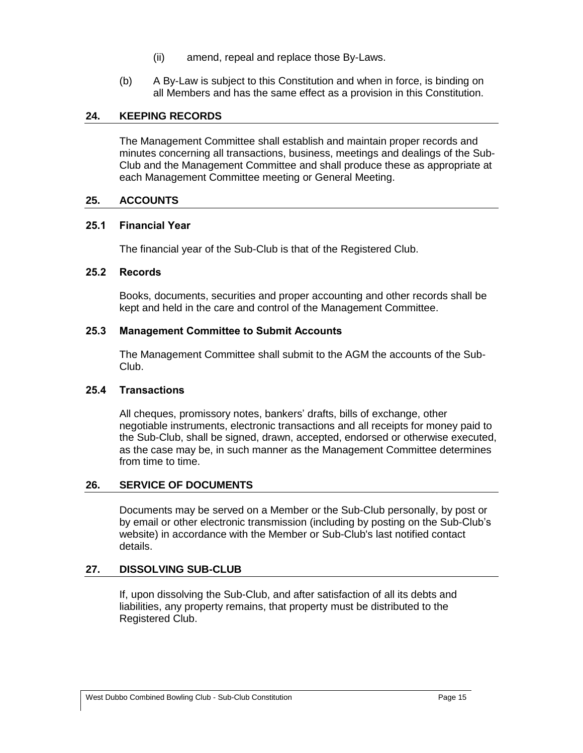- (ii) amend, repeal and replace those By-Laws.
- (b) A By-Law is subject to this Constitution and when in force, is binding on all Members and has the same effect as a provision in this Constitution.

## <span id="page-15-0"></span>**24. KEEPING RECORDS**

The Management Committee shall establish and maintain proper records and minutes concerning all transactions, business, meetings and dealings of the Sub-Club and the Management Committee and shall produce these as appropriate at each Management Committee meeting or General Meeting.

#### <span id="page-15-1"></span>**25. ACCOUNTS**

## <span id="page-15-2"></span>**25.1 Financial Year**

The financial year of the Sub-Club is that of the Registered Club.

## <span id="page-15-3"></span>**25.2 Records**

Books, documents, securities and proper accounting and other records shall be kept and held in the care and control of the Management Committee.

## <span id="page-15-4"></span>**25.3 Management Committee to Submit Accounts**

The Management Committee shall submit to the AGM the accounts of the Sub-Club.

#### <span id="page-15-5"></span>**25.4 Transactions**

All cheques, promissory notes, bankers' drafts, bills of exchange, other negotiable instruments, electronic transactions and all receipts for money paid to the Sub-Club, shall be signed, drawn, accepted, endorsed or otherwise executed, as the case may be, in such manner as the Management Committee determines from time to time.

## <span id="page-15-6"></span>**26. SERVICE OF DOCUMENTS**

Documents may be served on a Member or the Sub-Club personally, by post or by email or other electronic transmission (including by posting on the Sub-Club's website) in accordance with the Member or Sub-Club's last notified contact details.

## <span id="page-15-7"></span>**27. DISSOLVING SUB-CLUB**

<span id="page-15-8"></span>If, upon dissolving the Sub-Club, and after satisfaction of all its debts and liabilities, any property remains, that property must be distributed to the Registered Club.